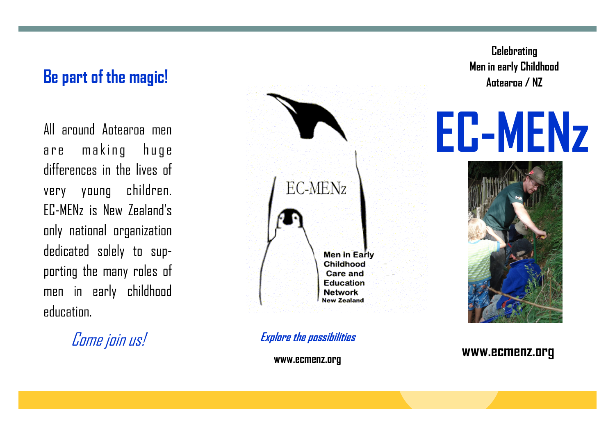## **Be part of the magic!**

All around Aotearoa men are making huge differences in the lives of very young children. EC-MENz is New Zealand's only national organization dedicated solely to supporting the many roles of men in early childhood education.

Come join us!



**Explore the possibilities**

**www.ecmenz.org**

**Celebrating Men in early Childhood Aotearoa / NZ**



## **www.ecmenz.org**